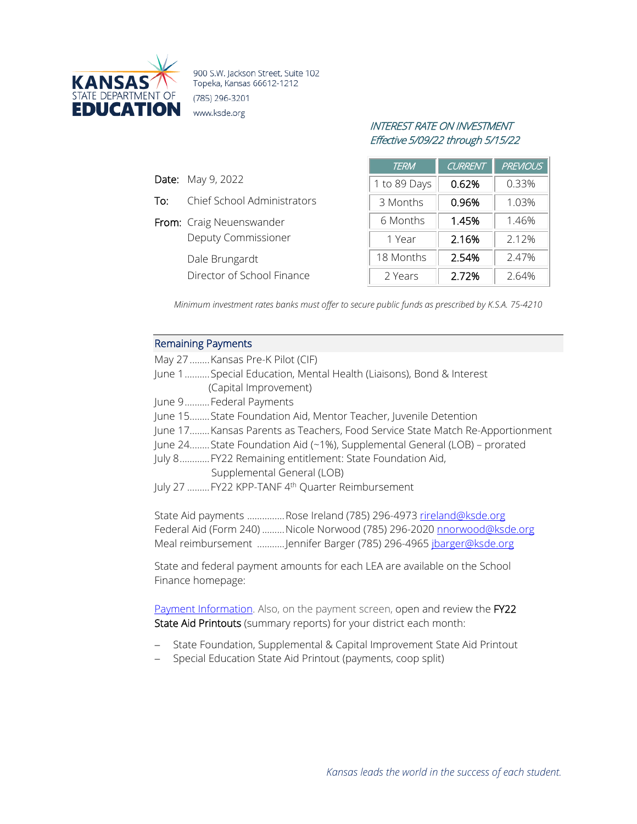

900 S.W. Jackson Street, Suite 102 Topeka, Kansas 66612-1212 (785) 296-3201 www.ksde.org

# INTEREST RATE ON INVESTMENT Effective 5/09/22 through 5/15/22

|     |                             | <b>TERM</b>  | <b>CURRENT</b> | <b>PREVIOUS</b> |
|-----|-----------------------------|--------------|----------------|-----------------|
|     | <b>Date:</b> May 9, 2022    | 1 to 89 Days | 0.62%          | 0.33%           |
| To: | Chief School Administrators | 3 Months     | 0.96%          | 1.03%           |
|     | From: Craig Neuenswander    | 6 Months     | 1.45%          | 1.46%           |
|     | Deputy Commissioner         | 1 Year       | 2.16%          | 2.12%           |
|     | Dale Brungardt              | 18 Months    | 2.54%          | 2.47%           |
|     | Director of School Finance  | 2 Years      | 2.72%          | 2.64%           |

*Minimum investment rates banks must offer to secure public funds as prescribed by K.S.A. 75-4210*

## Remaining Payments

| May 27  Kansas Pre-K Pilot (CIF)                                              |
|-------------------------------------------------------------------------------|
| June 1 Special Education, Mental Health (Liaisons), Bond & Interest           |
| (Capital Improvement)                                                         |
| June 9Federal Payments                                                        |
| June 15State Foundation Aid, Mentor Teacher, Juvenile Detention               |
| June 17 Kansas Parents as Teachers, Food Service State Match Re-Apportionment |
| June 24State Foundation Aid (~1%), Supplemental General (LOB) - prorated      |
| July 8 FY22 Remaining entitlement: State Foundation Aid,                      |
| Supplemental General (LOB)                                                    |
| July 27  FY22 KPP-TANF 4 <sup>th</sup> Quarter Reimbursement                  |
|                                                                               |
| State Aid payments Rose Ireland (785) 296-4973 rireland@ksde.org              |
| Federal Aid (Form 240)  Nicole Norwood (785) 296-2020 nnorwood@ksde.org       |
| Meal reimbursement Jennifer Barger (785) 296-4965 ibarger@ksde.org            |
|                                                                               |

State and federal payment amounts for each LEA are available on the School Finance homepage:

[Payment Information.](http://www.ksde.org/Agency/FiscalandAdministrativeServices/SchoolFinance/PaymentInformation.aspx) Also, on the payment screen, open and review the FY22 State Aid Printouts (summary reports) for your district each month:

- − State Foundation, Supplemental & Capital Improvement State Aid Printout
- − Special Education State Aid Printout (payments, coop split)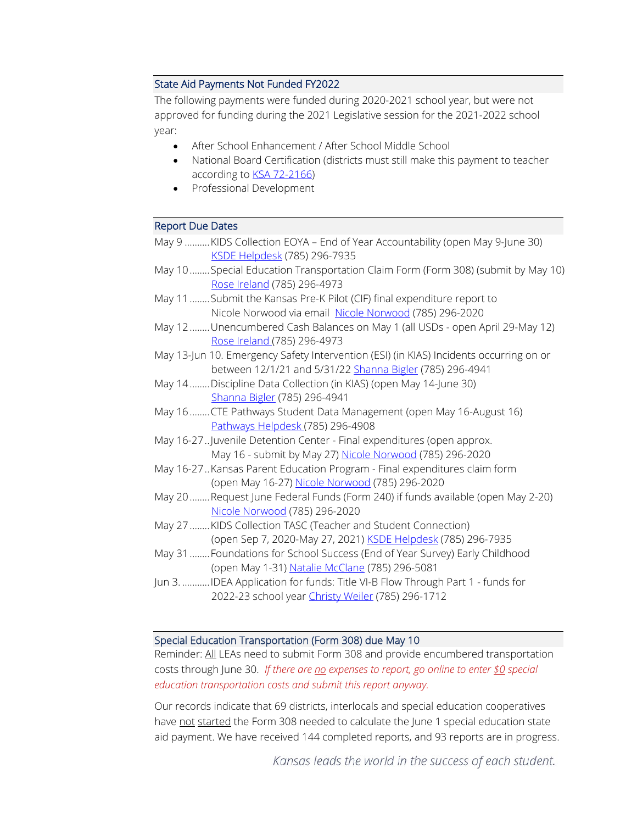## State Aid Payments Not Funded FY2022

The following payments were funded during 2020-2021 school year, but were not approved for funding during the 2021 Legislative session for the 2021-2022 school year:

- After School Enhancement / After School Middle School
- National Board Certification (districts must still make this payment to teacher according to [KSA 72-2166\)](http://ksrevisor.org/statutes/chapters/ch72/072_021_0066.html)
- Professional Development

#### Report Due Dates

| May 9  KIDS Collection EOYA – End of Year Accountability (open May 9-June 30) |  |
|-------------------------------------------------------------------------------|--|
| <u>KSDE Helpdesk</u> (785) 296-7935                                           |  |

May 10........Special Education Transportation Claim Form (Form 308) (submit by May 10) [Rose Ireland](mailto:rireland@ksde.org) (785) 296-4973

- May 11........Submit the Kansas Pre-K Pilot (CIF) final expenditure report to Nicole Norwood via email [Nicole Norwood](mailto:nnorwood@ksde.org) (785) 296-2020
- May 12........Unencumbered Cash Balances on May 1 (all USDs open April 29-May 12) [Rose Ireland \(](mailto:rireland@ksde.org)785) 296-4973

May 13-Jun 10. Emergency Safety Intervention (ESI) (in KIAS) Incidents occurring on or between 12/1/21 and 5/31/22 [Shanna Bigler](mailto:SBigler@ksde.org) (785) 296-4941

- May 14........Discipline Data Collection (in KIAS) (open May 14-June 30) [Shanna Bigler](mailto:SBigler@ksde.org) (785) 296-4941
- May 16........CTE Pathways Student Data Management (open May 16-August 16) [Pathways Helpdesk \(](mailto:PathwaysHelpDesk@ksde.org)785) 296-4908
- May 16-27..Juvenile Detention Center Final expenditures (open approx. May 16 - submit by May 27) [Nicole Norwood](mailto:nnorwood@ksde.org) (785) 296-2020
- May 16-27..Kansas Parent Education Program Final expenditures claim form (open May 16-27) [Nicole Norwood](mailto:nnorwood@ksde.org) (785) 296-2020
- May 20........Request June Federal Funds (Form 240) if funds available (open May 2-20) [Nicole Norwood](mailto:nnorwood@ksde.org) (785) 296-2020
- May 27........KIDS Collection TASC (Teacher and Student Connection) (open Sep 7, 2020-May 27, 2021) [KSDE Helpdesk](mailto:helpdesk@ksde.org) (785) 296-7935
- May 31........Foundations for School Success (End of Year Survey) Early Childhood (open May 1-31) [Natalie McClane](mailto:NMcClane@ksde.org) (785) 296-5081
- Jun 3. ...........IDEA Application for funds: Title VI-B Flow Through Part 1 funds for 2022-23 school year [Christy Weiler](mailto:CWeiler@ksde.org) (785) 296-1712

#### Special Education Transportation (Form 308) due May 10

Reminder: All LEAs need to submit Form 308 and provide encumbered transportation costs through June 30. *If there are no expenses to report, go online to enter \$0 special education transportation costs and submit this report anyway.*

Our records indicate that 69 districts, interlocals and special education cooperatives have not started the Form 308 needed to calculate the June 1 special education state aid payment. We have received 144 completed reports, and 93 reports are in progress.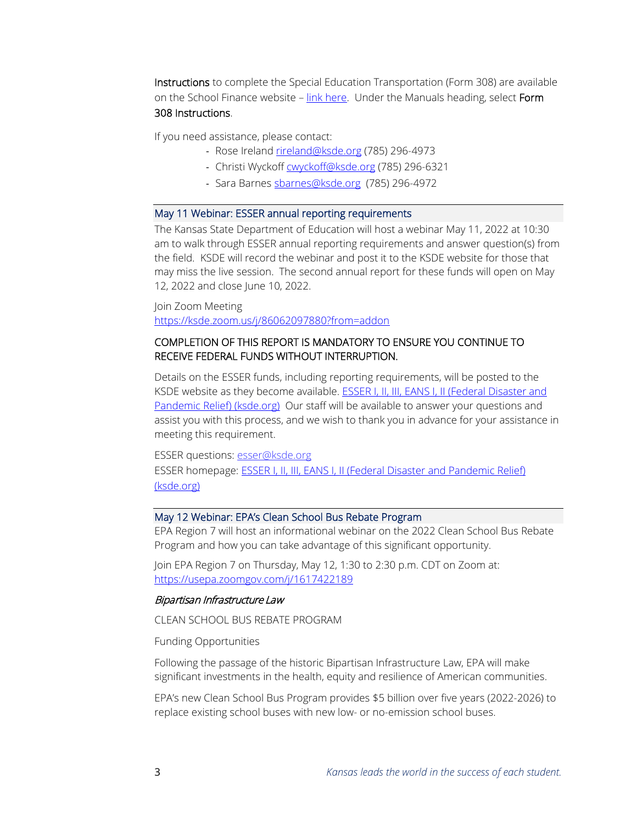Instructions to complete the Special Education Transportation (Form 308) are available on the School Finance website - link here. Under the Manuals heading, select Form 308 Instructions.

If you need assistance, please contact:

- Rose Ireland [rireland@ksde.org](mailto:rireland@ksde.org) (785) 296-4973
- Christi Wyckof[f cwyckoff@ksde.org](mailto:cwyckoff@ksde.org) (785) 296-6321
- Sara Barne[s sbarnes@ksde.org](mailto:sbarnes@ksde.org) (785) 296-4972

#### May 11 Webinar: ESSER annual reporting requirements

The Kansas State Department of Education will host a webinar May 11, 2022 at 10:30 am to walk through ESSER annual reporting requirements and answer question(s) from the field. KSDE will record the webinar and post it to the KSDE website for those that may miss the live session. The second annual report for these funds will open on May 12, 2022 and close June 10, 2022.

Join Zoom Meeting <https://ksde.zoom.us/j/86062097880?from=addon>

### COMPLETION OF THIS REPORT IS MANDATORY TO ENSURE YOU CONTINUE TO RECEIVE FEDERAL FUNDS WITHOUT INTERRUPTION.

Details on the ESSER funds, including reporting requirements, will be posted to the KSDE website as they become available. **ESSER I, II, III, EANS I, II (Federal Disaster and** [Pandemic Relief\) \(ksde.org\)](https://www.ksde.org/Agency/Division-of-Learning-Services/Special-Education-and-Title-Services/Federal-Disaster-and-Pandemic-Relief) Our staff will be available to answer your questions and assist you with this process, and we wish to thank you in advance for your assistance in meeting this requirement.

ESSER questions: [esser@ksde.org](mailto:esser@ksde.org) ESSER homepage: [ESSER I, II, III, EANS I, II \(Federal Disaster and Pandemic Relief\)](https://www.ksde.org/Agency/Division-of-Learning-Services/Special-Education-and-Title-Services/Federal-Disaster-and-Pandemic-Relief)  [\(ksde.org\)](https://www.ksde.org/Agency/Division-of-Learning-Services/Special-Education-and-Title-Services/Federal-Disaster-and-Pandemic-Relief)

### May 12 Webinar: EPA's Clean School Bus Rebate Program

EPA Region 7 will host an informational webinar on the 2022 Clean School Bus Rebate Program and how you can take advantage of this significant opportunity.

Join EPA Region 7 on Thursday, May 12, 1:30 to 2:30 p.m. CDT on Zoom at: <https://usepa.zoomgov.com/j/1617422189>

### Bipartisan Infrastructure Law

CLEAN SCHOOL BUS REBATE PROGRAM

Funding Opportunities

Following the passage of the historic Bipartisan Infrastructure Law, EPA will make significant investments in the health, equity and resilience of American communities.

EPA's new Clean School Bus Program provides \$5 billion over five years (2022-2026) to replace existing school buses with new low- or no-emission school buses.